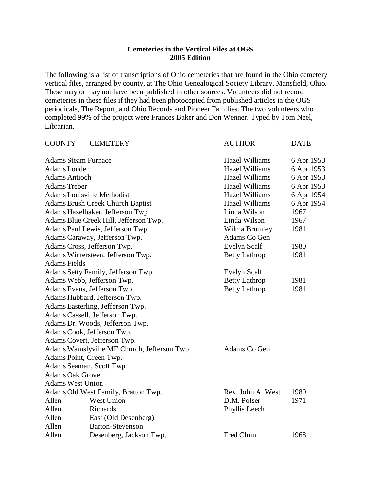## **Cemeteries in the Vertical Files at OGS 2005 Edition**

The following is a list of transcriptions of Ohio cemeteries that are found in the Ohio cemetery vertical files, arranged by county, at The Ohio Genealogical Society Library, Mansfield, Ohio. These may or may not have been published in other sources. Volunteers did not record cemeteries in these files if they had been photocopied from published articles in the OGS periodicals, The Report, and Ohio Records and Pioneer Families. The two volunteers who completed 99% of the project were Frances Baker and Don Wenner. Typed by Tom Neel, Librarian.

| <b>COUNTY</b>              | <b>CEMETERY</b>                            | <b>AUTHOR</b>         | <b>DATE</b> |
|----------------------------|--------------------------------------------|-----------------------|-------------|
| <b>Adams Steam Furnace</b> |                                            | <b>Hazel Williams</b> | 6 Apr 1953  |
| Adams Louden               |                                            | <b>Hazel Williams</b> | 6 Apr 1953  |
| <b>Adams Antioch</b>       |                                            | <b>Hazel Williams</b> | 6 Apr 1953  |
| <b>Adams Treber</b>        |                                            | <b>Hazel Williams</b> | 6 Apr 1953  |
|                            | <b>Adams Louisville Methodist</b>          | <b>Hazel Williams</b> | 6 Apr 1954  |
|                            | <b>Adams Brush Creek Church Baptist</b>    | <b>Hazel Williams</b> | 6 Apr 1954  |
|                            | Adams Hazelbaker, Jefferson Twp            | Linda Wilson          | 1967        |
|                            | Adams Blue Creek Hill, Jefferson Twp.      | Linda Wilson          | 1967        |
|                            | Adams Paul Lewis, Jefferson Twp.           | Wilma Brumley         | 1981        |
|                            | Adams Caraway, Jefferson Twp.              | Adams Co Gen          |             |
|                            | Adams Cross, Jefferson Twp.                | <b>Evelyn Scalf</b>   | 1980        |
|                            | Adams Wintersteen, Jefferson Twp.          | <b>Betty Lathrop</b>  | 1981        |
| <b>Adams Fields</b>        |                                            |                       |             |
|                            | Adams Setty Family, Jefferson Twp.         | Evelyn Scalf          |             |
|                            | Adams Webb, Jefferson Twp.                 | <b>Betty Lathrop</b>  | 1981        |
|                            | Adams Evans, Jefferson Twp.                | <b>Betty Lathrop</b>  | 1981        |
|                            | Adams Hubbard, Jefferson Twp.              |                       |             |
|                            | Adams Easterling, Jefferson Twp.           |                       |             |
|                            | Adams Cassell, Jefferson Twp.              |                       |             |
|                            | Adams Dr. Woods, Jefferson Twp.            |                       |             |
|                            | Adams Cook, Jefferson Twp.                 |                       |             |
|                            | Adams Covert, Jefferson Twp.               |                       |             |
|                            | Adams Wamslyville ME Church, Jefferson Twp | Adams Co Gen          |             |
| Adams Point, Green Twp.    |                                            |                       |             |
|                            | Adams Seaman, Scott Twp.                   |                       |             |
| <b>Adams Oak Grove</b>     |                                            |                       |             |
| <b>Adams West Union</b>    |                                            |                       |             |
|                            | Adams Old West Family, Bratton Twp.        | Rev. John A. West     | 1980        |
| Allen                      | West Union                                 | D.M. Polser           | 1971        |
| Allen                      | Richards                                   | Phyllis Leech         |             |
| Allen                      | East (Old Desenberg)                       |                       |             |
| Allen                      | <b>Barton-Stevenson</b>                    |                       |             |
| Allen                      | Desenberg, Jackson Twp.                    | Fred Clum             | 1968        |
|                            |                                            |                       |             |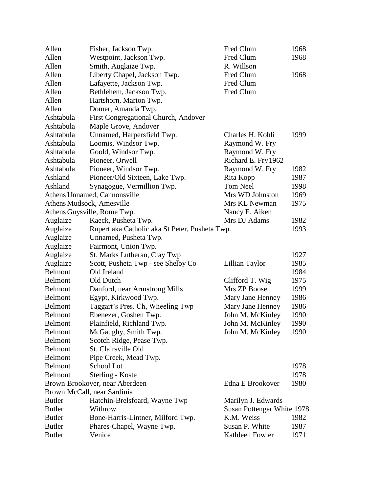| Allen                     | Fisher, Jackson Twp.                           | Fred Clum                  | 1968 |
|---------------------------|------------------------------------------------|----------------------------|------|
| Allen                     | Westpoint, Jackson Twp.                        | Fred Clum                  | 1968 |
| Allen                     | Smith, Auglaize Twp.                           | R. Willson                 |      |
| Allen                     | Liberty Chapel, Jackson Twp.                   | Fred Clum                  | 1968 |
| Allen                     | Lafayette, Jackson Twp.                        | Fred Clum                  |      |
| Allen                     | Bethlehem, Jackson Twp.                        | Fred Clum                  |      |
| Allen                     | Hartshorn, Marion Twp.                         |                            |      |
| Allen                     | Domer, Amanda Twp.                             |                            |      |
| Ashtabula                 | First Congregational Church, Andover           |                            |      |
| Ashtabula                 | Maple Grove, Andover                           |                            |      |
| Ashtabula                 | Unnamed, Harpersfield Twp.                     | Charles H. Kohli           | 1999 |
| Ashtabula                 | Loomis, Windsor Twp.                           | Raymond W. Fry             |      |
| Ashtabula                 | Goold, Windsor Twp.                            | Raymond W. Fry             |      |
| Ashtabula                 | Pioneer, Orwell                                | Richard E. Fry 1962        |      |
| Ashtabula                 | Pioneer, Windsor Twp.                          | Raymond W. Fry             | 1982 |
| Ashland                   | Pioneer/Old Sixteen, Lake Twp.                 | Rita Kopp                  | 1987 |
| Ashland                   | Synagogue, Vermillion Twp.                     | <b>Tom Neel</b>            | 1998 |
|                           | Athens Unnamed, Cannonsville                   | Mrs WD Johnston            | 1969 |
| Athens Mudsock, Amesville |                                                | Mrs KL Newman              | 1975 |
|                           | Athens Guysville, Rome Twp.                    | Nancy E. Aiken             |      |
| Auglaize                  | Kaeck, Pusheta Twp.                            | Mrs DJ Adams               | 1982 |
| Auglaize                  | Rupert aka Catholic aka St Peter, Pusheta Twp. |                            | 1993 |
| Auglaize                  | Unnamed, Pusheta Twp.                          |                            |      |
| Auglaize                  | Fairmont, Union Twp.                           |                            |      |
| Auglaize                  | St. Marks Lutheran, Clay Twp                   |                            | 1927 |
| Auglaize                  | Scott, Pusheta Twp - see Shelby Co             | Lillian Taylor             | 1985 |
| Belmont                   | Old Ireland                                    |                            | 1984 |
| Belmont                   | Old Dutch                                      | Clifford T. Wig            | 1975 |
| <b>Belmont</b>            | Danford, near Armstrong Mills                  | Mrs ZP Boose               | 1999 |
| <b>Belmont</b>            | Egypt, Kirkwood Twp.                           | Mary Jane Henney           | 1986 |
| <b>Belmont</b>            | Taggart's Pres. Ch, Wheeling Twp               | Mary Jane Henney           | 1986 |
| <b>Belmont</b>            | Ebenezer, Goshen Twp.                          | John M. McKinley           | 1990 |
| Belmont                   | Plainfield, Richland Twp.                      | John M. McKinley           | 1990 |
| <b>Belmont</b>            | McGaughy, Smith Twp.                           | John M. McKinley           | 1990 |
| Belmont                   | Scotch Ridge, Pease Twp.                       |                            |      |
| <b>Belmont</b>            | St. Clairsville Old                            |                            |      |
| <b>Belmont</b>            | Pipe Creek, Mead Twp.                          |                            |      |
| <b>Belmont</b>            | School Lot                                     |                            | 1978 |
| <b>Belmont</b>            | Sterling - Koste                               |                            | 1978 |
|                           | Brown Brookover, near Aberdeen                 | Edna E Brookover           | 1980 |
|                           | Brown McCall, near Sardinia                    |                            |      |
| <b>Butler</b>             | Hatchin-Brelsfoard, Wayne Twp                  | Marilyn J. Edwards         |      |
| <b>Butler</b>             | Withrow                                        | Susan Pottenger White 1978 |      |
| <b>Butler</b>             | Bone-Harris-Lintner, Milford Twp.              | K.M. Weiss                 | 1982 |
| <b>Butler</b>             | Phares-Chapel, Wayne Twp.                      | Susan P. White             | 1987 |
| <b>Butler</b>             | Venice                                         | Kathleen Fowler            | 1971 |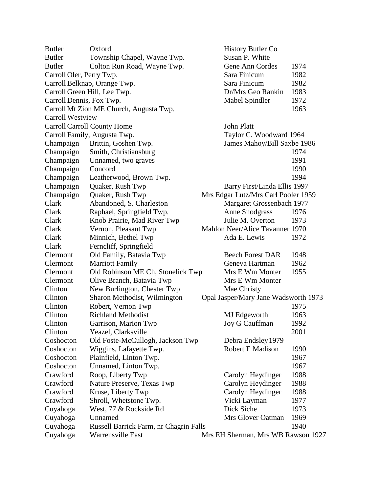| <b>Butler</b>                      | Oxford                                  | <b>History Butler Co</b>             |      |
|------------------------------------|-----------------------------------------|--------------------------------------|------|
| <b>Butler</b>                      | Township Chapel, Wayne Twp.             | Susan P. White                       |      |
| <b>Butler</b>                      | Colton Run Road, Wayne Twp.             | Gene Ann Cordes                      | 1974 |
| Carroll Oler, Perry Twp.           |                                         | Sara Finicum                         | 1982 |
|                                    | Carroll Belknap, Orange Twp.            | Sara Finicum                         | 1982 |
| Carroll Green Hill, Lee Twp.       |                                         | Dr/Mrs Geo Rankin                    | 1983 |
| Carroll Dennis, Fox Twp.           |                                         | Mabel Spindler                       | 1972 |
|                                    | Carroll Mt Zion ME Church, Augusta Twp. |                                      | 1963 |
| <b>Carroll Westview</b>            |                                         |                                      |      |
| <b>Carroll Carroll County Home</b> |                                         | John Platt                           |      |
|                                    | Carroll Family, Augusta Twp.            | Taylor C. Woodward 1964              |      |
| Champaign                          | Brittin, Goshen Twp.                    | James Mahoy/Bill Saxbe 1986          |      |
| Champaign                          | Smith, Christiansburg                   |                                      | 1974 |
| Champaign                          | Unnamed, two graves                     |                                      | 1991 |
| Champaign                          | Concord                                 |                                      | 1990 |
| Champaign                          | Leatherwood, Brown Twp.                 |                                      | 1994 |
| Champaign                          | Quaker, Rush Twp                        | Barry First/Linda Ellis 1997         |      |
| Champaign                          | Quaker, Rush Twp                        | Mrs Edgar Lutz/Mrs Carl Pooler 1959  |      |
| Clark                              | Abandoned, S. Charleston                | Margaret Grossenbach 1977            |      |
| Clark                              | Raphael, Springfield Twp.               | <b>Anne Snodgrass</b>                | 1976 |
| Clark                              | Knob Prairie, Mad River Twp             | Julie M. Overton                     | 1973 |
| Clark                              | Vernon, Pleasant Twp                    | Mahlon Neer/Alice Tavanner 1970      |      |
| Clark                              | Minnich, Bethel Twp                     | Ada E. Lewis                         | 1972 |
| Clark                              | Ferncliff, Springfield                  |                                      |      |
| Clermont                           | Old Family, Batavia Twp                 | <b>Beech Forest DAR</b>              | 1948 |
| Clermont                           | <b>Marriott Family</b>                  | Geneva Hartman                       | 1962 |
| Clermont                           | Old Robinson ME Ch, Stonelick Twp       | Mrs E Wm Monter                      | 1955 |
| Clermont                           | Olive Branch, Batavia Twp               | Mrs E Wm Monter                      |      |
| Clinton                            | New Burlington, Chester Twp             | Mae Christy                          |      |
| Clinton                            | Sharon Methodist, Wilmington            | Opal Jasper/Mary Jane Wadsworth 1973 |      |
| Clinton                            | Robert, Vernon Twp                      |                                      | 1975 |
| Clinton                            | <b>Richland Methodist</b>               | MJ Edgeworth                         | 1963 |
| Clinton                            | Garrison, Marion Twp                    | Joy G Cauffman                       | 1992 |
| Clinton                            | Yeazel, Clarksville                     |                                      | 2001 |
| Coshocton                          | Old Foste-McCullogh, Jackson Twp        | Debra Endsley 1979                   |      |
| Coshocton                          | Wiggins, Lafayette Twp.                 | <b>Robert E Madison</b>              | 1990 |
| Coshocton                          | Plainfield, Linton Twp.                 |                                      | 1967 |
| Coshocton                          | Unnamed, Linton Twp.                    |                                      | 1967 |
| Crawford                           | Roop, Liberty Twp                       | Carolyn Heydinger                    | 1988 |
| Crawford                           | Nature Preserve, Texas Twp              | Carolyn Heydinger                    | 1988 |
| Crawford                           | Kruse, Liberty Twp                      | Carolyn Heydinger                    | 1988 |
| Crawford                           | Shroll, Whetstone Twp.                  | Vicki Layman                         | 1977 |
| Cuyahoga                           | West, 77 & Rockside Rd                  | Dick Siche                           | 1973 |
| Cuyahoga                           | Unnamed                                 | Mrs Glover Oatman                    | 1969 |
| Cuyahoga                           | Russell Barrick Farm, nr Chagrin Falls  |                                      | 1940 |
| Cuyahoga                           | <b>Warrensville East</b>                | Mrs EH Sherman, Mrs WB Rawson 1927   |      |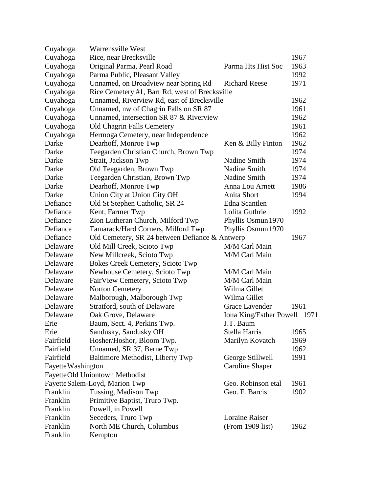| Cuyahoga           | Warrensville West                              |                              |      |
|--------------------|------------------------------------------------|------------------------------|------|
| Cuyahoga           | Rice, near Brecksville                         |                              | 1967 |
| Cuyahoga           | Original Parma, Pearl Road                     | Parma Hts Hist Soc           | 1963 |
| Cuyahoga           | Parma Public, Pleasant Valley                  |                              | 1992 |
| Cuyahoga           | Unnamed, on Broadview near Spring Rd           | <b>Richard Reese</b>         | 1971 |
| Cuyahoga           | Rice Cemetery #1, Barr Rd, west of Brecksville |                              |      |
| Cuyahoga           | Unnamed, Riverview Rd, east of Brecksville     |                              | 1962 |
| Cuyahoga           | Unnamed, nw of Chagrin Falls on SR 87          |                              | 1961 |
| Cuyahoga           | Unnamed, intersection SR 87 & Riverview        |                              | 1962 |
| Cuyahoga           | Old Chagrin Falls Cemetery                     |                              | 1961 |
| Cuyahoga           | Hermoga Cemetery, near Independence            |                              | 1962 |
| Darke              | Dearhoff, Monroe Twp                           | Ken & Billy Finton           | 1962 |
| Darke              | Teegarden Christian Church, Brown Twp          |                              | 1974 |
| Darke              | Strait, Jackson Twp                            | Nadine Smith                 | 1974 |
| Darke              | Old Teegarden, Brown Twp                       | Nadine Smith                 | 1974 |
| Darke              | Teegarden Christian, Brown Twp                 | Nadine Smith                 | 1974 |
| Darke              | Dearhoff, Monroe Twp                           | Anna Lou Arnett              | 1986 |
| Darke              | Union City at Union City OH                    | Anita Short                  | 1994 |
| Defiance           | Old St Stephen Catholic, SR 24                 | Edna Scantlen                |      |
| Defiance           | Kent, Farmer Twp                               | Lolita Guthrie               | 1992 |
| Defiance           |                                                |                              |      |
|                    | Zion Lutheran Church, Milford Twp              | Phyllis Osmun 1970           |      |
| Defiance           | Tamarack/Hard Corners, Milford Twp             | Phyllis Osmun 1970           |      |
| Defiance           | Old Cemetery, SR 24 between Defiance & Antwerp |                              | 1967 |
| Delaware           | Old Mill Creek, Scioto Twp                     | M/M Carl Main                |      |
| Delaware           | New Millcreek, Scioto Twp                      | M/M Carl Main                |      |
| Delaware           | <b>Bokes Creek Cemetery, Scioto Twp</b>        |                              |      |
| Delaware           | Newhouse Cemetery, Scioto Twp                  | M/M Carl Main                |      |
| Delaware           | FairView Cemetery, Scioto Twp                  | M/M Carl Main                |      |
| Delaware           | <b>Norton Cemetery</b>                         | Wilma Gillet                 |      |
| Delaware           | Malborough, Malborough Twp                     | Wilma Gillet                 |      |
| Delaware           | Stratford, south of Delaware                   | Grace Lavender               | 1961 |
| Delaware           | Oak Grove, Delaware                            | Iona King/Esther Powell 1971 |      |
| Erie               | Baum, Sect. 4, Perkins Twp.                    | J.T. Baum                    |      |
| Erie               | Sandusky, Sandusky OH                          | Stella Harris                | 1965 |
| Fairfield          | Hosher/Hoshor, Bloom Twp.                      | Marilyn Kovatch              | 1969 |
| Fairfield          | Unnamed, SR 37, Berne Twp                      |                              | 1962 |
| Fairfield          | Baltimore Methodist, Liberty Twp               | George Stillwell             | 1991 |
| Fayette Washington |                                                | <b>Caroline Shaper</b>       |      |
|                    | FayetteOld Uniontown Methodist                 |                              |      |
|                    | Fayette Salem-Loyd, Marion Twp                 | Geo. Robinson etal           | 1961 |
| Franklin           | Tussing, Madison Twp                           | Geo. F. Barcis               | 1902 |
| Franklin           | Primitive Baptist, Truro Twp.                  |                              |      |
| Franklin           | Powell, in Powell                              |                              |      |
|                    | Seceders, Truro Twp                            | <b>Loraine Raiser</b>        |      |
| Franklin           |                                                |                              |      |
| Franklin           | North ME Church, Columbus                      | (From 1909 list)             | 1962 |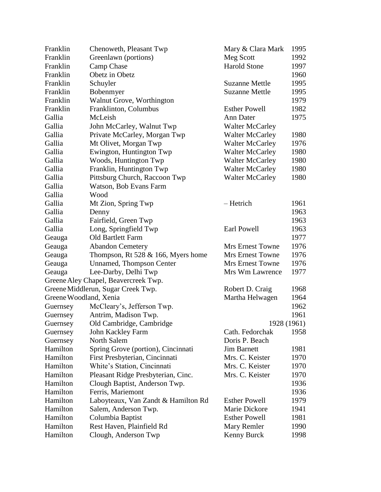| Franklin               | Chenoweth, Pleasant Twp              | Mary & Clara Mark       | 1995 |
|------------------------|--------------------------------------|-------------------------|------|
| Franklin               | Greenlawn (portions)                 | Meg Scott               | 1992 |
| Franklin               | Camp Chase                           | <b>Harold Stone</b>     | 1997 |
| Franklin               | Obetz in Obetz                       |                         | 1960 |
| Franklin               | Schuyler                             | <b>Suzanne Mettle</b>   | 1995 |
| Franklin               | Bobenmyer                            | <b>Suzanne Mettle</b>   | 1995 |
| Franklin               | Walnut Grove, Worthington            |                         | 1979 |
| Franklin               | Franklinton, Columbus                | <b>Esther Powell</b>    | 1982 |
| Gallia                 | McLeish                              | Ann Dater               | 1975 |
| Gallia                 | John McCarley, Walnut Twp            | <b>Walter McCarley</b>  |      |
| Gallia                 | Private McCarley, Morgan Twp         | <b>Walter McCarley</b>  | 1980 |
| Gallia                 | Mt Olivet, Morgan Twp                | <b>Walter McCarley</b>  | 1976 |
| Gallia                 | Ewington, Huntington Twp             | <b>Walter McCarley</b>  | 1980 |
| Gallia                 | Woods, Huntington Twp                | <b>Walter McCarley</b>  | 1980 |
| Gallia                 | Franklin, Huntington Twp             | <b>Walter McCarley</b>  | 1980 |
| Gallia                 | Pittsburg Church, Raccoon Twp        | <b>Walter McCarley</b>  | 1980 |
| Gallia                 | Watson, Bob Evans Farm               |                         |      |
| Gallia                 | Wood                                 |                         |      |
| Gallia                 | Mt Zion, Spring Twp                  | - Hetrich               | 1961 |
| Gallia                 | Denny                                |                         | 1963 |
| Gallia                 | Fairfield, Green Twp                 |                         | 1963 |
| Gallia                 | Long, Springfield Twp                | Earl Powell             | 1963 |
| Geauga                 | Old Bartlett Farm                    |                         | 1977 |
| Geauga                 | <b>Abandon Cemetery</b>              | <b>Mrs Ernest Towne</b> | 1976 |
| Geauga                 | Thompson, Rt 528 $&$ 166, Myers home | <b>Mrs Ernest Towne</b> | 1976 |
| Geauga                 | <b>Unnamed, Thompson Center</b>      | <b>Mrs Ernest Towne</b> | 1976 |
| Geauga                 | Lee-Darby, Delhi Twp                 | Mrs Wm Lawrence         | 1977 |
|                        | Greene Aley Chapel, Beavercreek Twp. |                         |      |
|                        | Greene Middlerun, Sugar Creek Twp.   | Robert D. Craig         | 1968 |
| Greene Woodland, Xenia |                                      | Martha Helwagen         | 1964 |
| Guernsey               | McCleary's, Jefferson Twp.           |                         | 1962 |
| Guernsey               | Antrim, Madison Twp.                 |                         | 1961 |
| Guernsey               | Old Cambridge, Cambridge             | 1928 (1961)             |      |
| Guernsey               | John Kackley Farm                    | Cath. Fedorchak         | 1958 |
| Guernsey               | North Salem                          | Doris P. Beach          |      |
| Hamilton               | Spring Grove (portion), Cincinnati   | <b>Jim Barnett</b>      | 1981 |
| Hamilton               | First Presbyterian, Cincinnati       | Mrs. C. Keister         | 1970 |
| Hamilton               | White's Station, Cincinnati          | Mrs. C. Keister         | 1970 |
| Hamilton               | Pleasant Ridge Presbyterian, Cinc.   | Mrs. C. Keister         | 1970 |
| Hamilton               | Clough Baptist, Anderson Twp.        |                         | 1936 |
| Hamilton               | Ferris, Mariemont                    |                         | 1936 |
| Hamilton               | Laboyteaux, Van Zandt & Hamilton Rd  | <b>Esther Powell</b>    | 1979 |
| Hamilton               | Salem, Anderson Twp.                 | Marie Dickore           | 1941 |
| Hamilton               | Columbia Baptist                     | <b>Esther Powell</b>    | 1981 |
| Hamilton               | Rest Haven, Plainfield Rd            | Mary Remler             | 1990 |
| Hamilton               | Clough, Anderson Twp                 | Kenny Burck             | 1998 |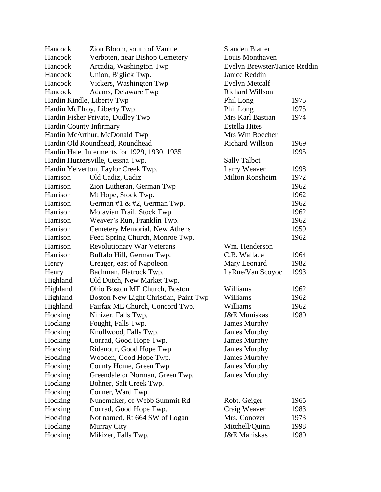| Hancock                 | Zion Bloom, south of Vanlue                  | <b>Stauden Blatter</b>        |      |
|-------------------------|----------------------------------------------|-------------------------------|------|
| Hancock                 | Verboten, near Bishop Cemetery               | Louis Monthaven               |      |
| Hancock                 | Arcadia, Washington Twp                      | Evelyn Brewster/Janice Reddin |      |
| Hancock                 | Union, Biglick Twp.                          | Janice Reddin                 |      |
| Hancock                 | Vickers, Washington Twp                      | <b>Evelyn Metcalf</b>         |      |
| Hancock                 | Adams, Delaware Twp                          | <b>Richard Willson</b>        |      |
|                         | Hardin Kindle, Liberty Twp                   | Phil Long                     | 1975 |
|                         | Hardin McElroy, Liberty Twp                  | Phil Long                     | 1975 |
|                         | Hardin Fisher Private, Dudley Twp            | Mrs Karl Bastian              | 1974 |
| Hardin County Infirmary |                                              | <b>Estella Hites</b>          |      |
|                         | Hardin McArthur, McDonald Twp                | Mrs Wm Boecher                |      |
|                         | Hardin Old Roundhead, Roundhead              | <b>Richard Willson</b>        | 1969 |
|                         | Hardin Hale, Interments for 1929, 1930, 1935 |                               | 1995 |
|                         | Hardin Huntersville, Cessna Twp.             | <b>Sally Talbot</b>           |      |
|                         | Hardin Yelverton, Taylor Creek Twp.          | Larry Weaver                  | 1998 |
| Harrison                | Old Cadiz, Cadiz                             | <b>Milton Ronsheim</b>        | 1972 |
| Harrison                | Zion Lutheran, German Twp                    |                               | 1962 |
| Harrison                | Mt Hope, Stock Twp.                          |                               | 1962 |
| Harrison                | German #1 & #2, German Twp.                  |                               | 1962 |
| Harrison                | Moravian Trail, Stock Twp.                   |                               | 1962 |
| Harrison                | Weaver's Run, Franklin Twp.                  |                               | 1962 |
| Harrison                | Cemetery Memorial, New Athens                |                               | 1959 |
| Harrison                | Feed Spring Church, Monroe Twp.              |                               | 1962 |
| Harrison                | <b>Revolutionary War Veterans</b>            | Wm. Henderson                 |      |
| Harrison                | Buffalo Hill, German Twp.                    | C.B. Wallace                  | 1964 |
| Henry                   | Creager, east of Napoleon                    | Mary Leonard                  | 1982 |
| Henry                   | Bachman, Flatrock Twp.                       | LaRue/Van Scoyoc              | 1993 |
| Highland                | Old Dutch, New Market Twp.                   |                               |      |
| Highland                | Ohio Boston ME Church, Boston                | Williams                      | 1962 |
| Highland                | Boston New Light Christian, Paint Twp        | Williams                      | 1962 |
| Highland                | Fairfax ME Church, Concord Twp.              | Williams                      | 1962 |
| Hocking                 | Nihizer, Falls Twp.                          | <b>J&amp;E</b> Muniskas       | 1980 |
| Hocking                 | Fought, Falls Twp.                           | <b>James Murphy</b>           |      |
| Hocking                 | Knollwood, Falls Twp.                        | <b>James Murphy</b>           |      |
| Hocking                 | Conrad, Good Hope Twp.                       | James Murphy                  |      |
| Hocking                 | Ridenour, Good Hope Twp.                     | James Murphy                  |      |
| Hocking                 | Wooden, Good Hope Twp.                       | James Murphy                  |      |
| Hocking                 | County Home, Green Twp.                      | <b>James Murphy</b>           |      |
| Hocking                 | Greendale or Norman, Green Twp.              | <b>James Murphy</b>           |      |
| Hocking                 | Bohner, Salt Creek Twp.                      |                               |      |
| Hocking                 | Conner, Ward Twp.                            |                               |      |
|                         |                                              |                               |      |
| Hocking                 | Nunemaker, of Webb Summit Rd                 | Robt. Geiger                  | 1965 |
| Hocking                 | Conrad, Good Hope Twp.                       | Craig Weaver<br>Mrs. Conover  | 1983 |
| Hocking                 | Not named, Rt 664 SW of Logan                |                               | 1973 |
| Hocking                 | Murray City                                  | Mitchell/Quinn                | 1998 |
| Hocking                 | Mikizer, Falls Twp.                          | <b>J&amp;E</b> Maniskas       | 1980 |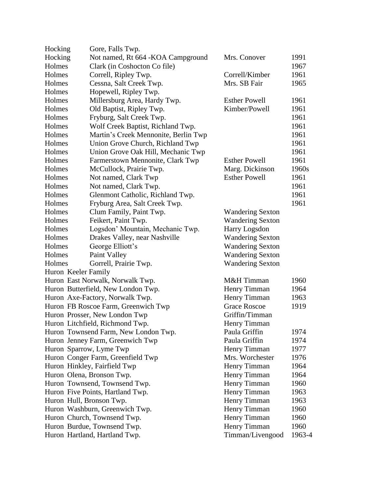| Hocking                  | Gore, Falls Twp.                     |                         |        |
|--------------------------|--------------------------------------|-------------------------|--------|
| Hocking                  | Not named, Rt 664 - KOA Campground   | Mrs. Conover            | 1991   |
| Holmes                   | Clark (in Coshocton Co file)         |                         | 1967   |
| Holmes                   | Correll, Ripley Twp.                 | Correll/Kimber          | 1961   |
| Holmes                   | Cessna, Salt Creek Twp.              | Mrs. SB Fair            | 1965   |
| Holmes                   | Hopewell, Ripley Twp.                |                         |        |
| Holmes                   | Millersburg Area, Hardy Twp.         | <b>Esther Powell</b>    | 1961   |
| Holmes                   | Old Baptist, Ripley Twp.             | Kimber/Powell           | 1961   |
| Holmes                   | Fryburg, Salt Creek Twp.             |                         | 1961   |
| Holmes                   | Wolf Creek Baptist, Richland Twp.    |                         | 1961   |
| Holmes                   | Martin's Creek Mennonite, Berlin Twp |                         | 1961   |
| Holmes                   | Union Grove Church, Richland Twp     |                         | 1961   |
| Holmes                   | Union Grove Oak Hill, Mechanic Twp   |                         | 1961   |
| Holmes                   | Farmerstown Mennonite, Clark Twp     | <b>Esther Powell</b>    | 1961   |
| Holmes                   | McCullock, Prairie Twp.              | Marg. Dickinson         | 1960s  |
| Holmes                   | Not named, Clark Twp                 | <b>Esther Powell</b>    | 1961   |
| Holmes                   | Not named, Clark Twp.                |                         | 1961   |
| Holmes                   | Glenmont Catholic, Richland Twp.     |                         | 1961   |
| Holmes                   | Fryburg Area, Salt Creek Twp.        |                         | 1961   |
| Holmes                   | Clum Family, Paint Twp.              | <b>Wandering Sexton</b> |        |
| Holmes                   | Feikert, Paint Twp.                  | <b>Wandering Sexton</b> |        |
| Holmes                   | Logsdon' Mountain, Mechanic Twp.     | <b>Harry Logsdon</b>    |        |
| Holmes                   | Drakes Valley, near Nashville        | <b>Wandering Sexton</b> |        |
| Holmes                   | George Elliott's                     | <b>Wandering Sexton</b> |        |
| Holmes                   | Paint Valley                         | <b>Wandering Sexton</b> |        |
| Holmes                   | Gorrell, Prairie Twp.                | <b>Wandering Sexton</b> |        |
| Huron Keeler Family      |                                      |                         |        |
|                          | Huron East Norwalk, Norwalk Twp.     | M&H Timman              | 1960   |
|                          | Huron Butterfield, New London Twp.   | Henry Timman            | 1964   |
|                          | Huron Axe-Factory, Norwalk Twp.      | Henry Timman            | 1963   |
|                          | Huron FB Roscoe Farm, Greenwich Twp  | <b>Grace Roscoe</b>     | 1919   |
|                          | Huron Prosser, New London Twp        | Griffin/Timman          |        |
|                          | Huron Litchfield, Richmond Twp.      | Henry Timman            |        |
|                          | Huron Townsend Farm, New London Twp. | Paula Griffin           | 1974   |
|                          | Huron Jenney Farm, Greenwich Twp     | Paula Griffin           | 1974   |
| Huron Sparrow, Lyme Twp  |                                      | Henry Timman            | 1977   |
|                          | Huron Conger Farm, Greenfield Twp    | Mrs. Worchester         | 1976   |
|                          | Huron Hinkley, Fairfield Twp         | Henry Timman            | 1964   |
|                          | Huron Olena, Bronson Twp.            | Henry Timman            | 1964   |
|                          | Huron Townsend, Townsend Twp.        | Henry Timman            | 1960   |
|                          | Huron Five Points, Hartland Twp.     | Henry Timman            | 1963   |
| Huron Hull, Bronson Twp. |                                      | Henry Timman            | 1963   |
|                          | Huron Washburn, Greenwich Twp.       | Henry Timman            | 1960   |
|                          | Huron Church, Townsend Twp.          | Henry Timman            | 1960   |
|                          | Huron Burdue, Townsend Twp.          | Henry Timman            | 1960   |
|                          | Huron Hartland, Hartland Twp.        | Timman/Livengood        | 1963-4 |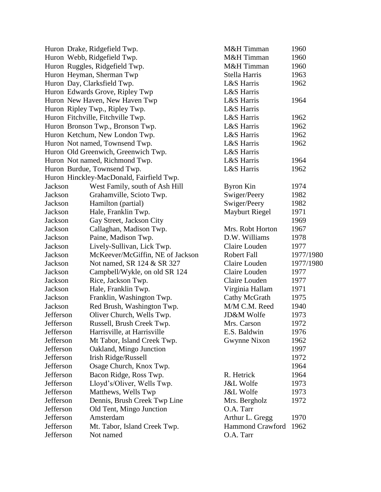|           | Huron Drake, Ridgefield Twp.             | M&H Timman              | 1960      |
|-----------|------------------------------------------|-------------------------|-----------|
|           | Huron Webb, Ridgefield Twp.              | M&H Timman              | 1960      |
|           | Huron Ruggles, Ridgefield Twp.           | M&H Timman              | 1960      |
|           | Huron Heyman, Sherman Twp                | Stella Harris           | 1963      |
|           | Huron Day, Clarksfield Twp.              | L&S Harris              | 1962      |
|           | Huron Edwards Grove, Ripley Twp          | L&S Harris              |           |
|           | Huron New Haven, New Haven Twp           | L&S Harris              | 1964      |
|           | Huron Ripley Twp., Ripley Twp.           | L&S Harris              |           |
|           | Huron Fitchville, Fitchville Twp.        | L&S Harris              | 1962      |
|           | Huron Bronson Twp., Bronson Twp.         | L&S Harris              | 1962      |
|           | Huron Ketchum, New London Twp.           | L&S Harris              | 1962      |
|           | Huron Not named, Townsend Twp.           | L&S Harris              | 1962      |
|           | Huron Old Greenwich, Greenwich Twp.      | L&S Harris              |           |
|           | Huron Not named, Richmond Twp.           | L&S Harris              | 1964      |
|           | Huron Burdue, Townsend Twp.              | L&S Harris              | 1962      |
|           | Huron Hinckley-MacDonald, Fairfield Twp. |                         |           |
| Jackson   | West Family, south of Ash Hill           | <b>Byron Kin</b>        | 1974      |
| Jackson   | Grahamville, Scioto Twp.                 | Swiger/Peery            | 1982      |
| Jackson   | Hamilton (partial)                       | Swiger/Peery            | 1982      |
| Jackson   | Hale, Franklin Twp.                      | <b>Mayburt Riegel</b>   | 1971      |
| Jackson   | Gay Street, Jackson City                 |                         | 1969      |
| Jackson   | Callaghan, Madison Twp.                  | Mrs. Robt Horton        | 1967      |
| Jackson   | Paine, Madison Twp.                      | D.W. Williams           | 1978      |
| Jackson   | Lively-Sullivan, Lick Twp.               | Claire Louden           | 1977      |
| Jackson   | McKeever/McGiffin, NE of Jackson         | <b>Robert Fall</b>      | 1977/1980 |
| Jackson   | Not named, SR 124 & SR 327               | Claire Louden           | 1977/1980 |
| Jackson   | Campbell/Wykle, on old SR 124            | Claire Louden           | 1977      |
| Jackson   | Rice, Jackson Twp.                       | Claire Louden           | 1977      |
| Jackson   | Hale, Franklin Twp.                      | Virginia Hallam         | 1971      |
| Jackson   | Franklin, Washington Twp.                | Cathy McGrath           | 1975      |
| Jackson   | Red Brush, Washington Twp.               | M/M C.M. Reed           | 1940      |
| Jefferson | Oliver Church, Wells Twp.                | JD&M Wolfe              | 1973      |
| Jefferson | Russell, Brush Creek Twp.                | Mrs. Carson             | 1972      |
| Jefferson | Harrisville, at Harrisville              | E.S. Baldwin            | 1976      |
| Jefferson | Mt Tabor, Island Creek Twp.              | Gwynne Nixon            | 1962      |
| Jefferson | Oakland, Mingo Junction                  |                         | 1997      |
| Jefferson | Irish Ridge/Russell                      |                         | 1972      |
| Jefferson | Osage Church, Knox Twp.                  |                         | 1964      |
| Jefferson | Bacon Ridge, Ross Twp.                   | R. Hetrick              | 1964      |
| Jefferson | Lloyd's/Oliver, Wells Twp.               | <b>J&amp;L Wolfe</b>    | 1973      |
| Jefferson | Matthews, Wells Twp                      | <b>J&amp;L Wolfe</b>    | 1973      |
| Jefferson | Dennis, Brush Creek Twp Line             | Mrs. Bergholz           | 1972      |
| Jefferson | Old Tent, Mingo Junction                 | O.A. Tarr               |           |
| Jefferson | Amsterdam                                | Arthur L. Gregg         | 1970      |
| Jefferson | Mt. Tabor, Island Creek Twp.             | <b>Hammond Crawford</b> | 1962      |
| Jefferson | Not named                                | O.A. Tarr               |           |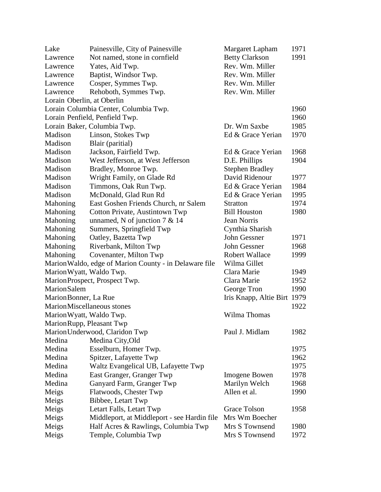| Lake                       | Painesville, City of Painesville                       | Margaret Lapham             | 1971 |
|----------------------------|--------------------------------------------------------|-----------------------------|------|
| Lawrence                   | Not named, stone in cornfield                          | <b>Betty Clarkson</b>       | 1991 |
| Lawrence                   | Yates, Aid Twp.                                        | Rev. Wm. Miller             |      |
| Lawrence                   | Baptist, Windsor Twp.                                  | Rev. Wm. Miller             |      |
| Lawrence                   | Cosper, Symmes Twp.                                    | Rev. Wm. Miller             |      |
| Lawrence                   | Rehoboth, Symmes Twp.                                  | Rev. Wm. Miller             |      |
| Lorain Oberlin, at Oberlin |                                                        |                             |      |
|                            | Lorain Columbia Center, Columbia Twp.                  |                             | 1960 |
|                            | Lorain Penfield, Penfield Twp.                         |                             | 1960 |
|                            | Lorain Baker, Columbia Twp.                            | Dr. Wm Saxbe                | 1985 |
| Madison                    | Linson, Stokes Twp                                     | Ed & Grace Yerian           | 1970 |
| Madison                    | Blair (paritial)                                       |                             |      |
| Madison                    | Jackson, Fairfield Twp.                                | Ed & Grace Yerian           | 1968 |
| Madison                    | West Jefferson, at West Jefferson                      | D.E. Phillips               | 1904 |
| Madison                    | Bradley, Monroe Twp.                                   | <b>Stephen Bradley</b>      |      |
| Madison                    | Wright Family, on Glade Rd                             | David Ridenour              | 1977 |
| Madison                    | Timmons, Oak Run Twp.                                  | Ed & Grace Yerian           | 1984 |
| Madison                    | McDonald, Glad Run Rd                                  | Ed & Grace Yerian           | 1995 |
| Mahoning                   | East Goshen Friends Church, nr Salem                   | <b>Stratton</b>             | 1974 |
| Mahoning                   | Cotton Private, Austintown Twp                         | <b>Bill Houston</b>         | 1980 |
| Mahoning                   | unnamed, N of junction $7 & 14$                        | Jean Norris                 |      |
| Mahoning                   | Summers, Springfield Twp                               | Cynthia Sharish             |      |
| Mahoning                   | Oatley, Bazetta Twp                                    | <b>John Gessner</b>         | 1971 |
| Mahoning                   | Riverbank, Milton Twp                                  | John Gessner                | 1968 |
| Mahoning                   | Covenanter, Milton Twp                                 | <b>Robert Wallace</b>       | 1999 |
|                            | Marion Waldo, edge of Marion County - in Delaware file | Wilma Gillet                |      |
| Marion Wyatt, Waldo Twp.   |                                                        | Clara Marie                 | 1949 |
|                            | MarionProspect, Prospect Twp.                          | Clara Marie                 | 1952 |
| <b>MarionSalem</b>         |                                                        | George Tron                 | 1990 |
| Marion Bonner, La Rue      |                                                        | Iris Knapp, Altie Birt 1979 |      |
|                            | MarionMiscellaneous stones                             |                             | 1922 |
| Marion Wyatt, Waldo Twp.   |                                                        | Wilma Thomas                |      |
|                            | Marion Rupp, Pleasant Twp                              |                             |      |
|                            | Marion Underwood, Claridon Twp                         | Paul J. Midlam              | 1982 |
| Medina                     | Medina City, Old                                       |                             |      |
| Medina                     | Esselburn, Homer Twp.                                  |                             | 1975 |
| Medina                     | Spitzer, Lafayette Twp                                 |                             | 1962 |
| Medina                     | Waltz Evangelical UB, Lafayette Twp                    |                             | 1975 |
| Medina                     | East Granger, Granger Twp                              | <b>Imogene Bowen</b>        | 1978 |
| Medina                     |                                                        | Marilyn Welch               |      |
|                            | Ganyard Farm, Granger Twp                              | Allen et al.                | 1968 |
| Meigs                      | Flatwoods, Chester Twp                                 |                             | 1990 |
| Meigs                      | Bibbee, Letart Twp                                     |                             |      |
| Meigs                      | Letart Falls, Letart Twp                               | <b>Grace Tolson</b>         | 1958 |
| Meigs                      | Middleport, at Middleport - see Hardin file            | Mrs Wm Boecher              |      |
| Meigs                      | Half Acres & Rawlings, Columbia Twp                    | Mrs S Townsend              | 1980 |
| Meigs                      | Temple, Columbia Twp                                   | Mrs S Townsend              | 1972 |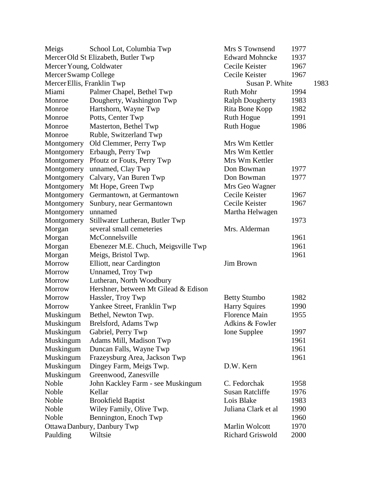| Meigs                      | School Lot, Columbia Twp             | Mrs S Townsend         | 1977 |      |
|----------------------------|--------------------------------------|------------------------|------|------|
|                            | Mercer Old St Elizabeth, Butler Twp  | <b>Edward Mohncke</b>  | 1937 |      |
| Mercer Young, Coldwater    |                                      | Cecile Keister         | 1967 |      |
| Mercer Swamp College       |                                      | Cecile Keister         | 1967 |      |
| Mercer Ellis, Franklin Twp |                                      | Susan P. White         |      | 1983 |
| Miami                      | Palmer Chapel, Bethel Twp            | <b>Ruth Mohr</b>       | 1994 |      |
| Monroe                     | Dougherty, Washington Twp            | <b>Ralph Dougherty</b> | 1983 |      |
| Monroe                     | Hartshorn, Wayne Twp                 | Rita Bone Kopp         | 1982 |      |
| Monroe                     | Potts, Center Twp                    | Ruth Hogue             | 1991 |      |
| Monroe                     | Masterton, Bethel Twp                | Ruth Hogue             | 1986 |      |
| Monroe                     | Ruble, Switzerland Twp               |                        |      |      |
| Montgomery                 | Old Clemmer, Perry Twp               | Mrs Wm Kettler         |      |      |
| Montgomery                 | Erbaugh, Perry Twp                   | Mrs Wm Kettler         |      |      |
| Montgomery                 | Pfoutz or Fouts, Perry Twp           | Mrs Wm Kettler         |      |      |
| Montgomery                 | unnamed, Clay Twp                    | Don Bowman             | 1977 |      |
| Montgomery                 | Calvary, Van Buren Twp               | Don Bowman             | 1977 |      |
| Montgomery                 | Mt Hope, Green Twp                   | Mrs Geo Wagner         |      |      |
| Montgomery                 | Germantown, at Germantown            | Cecile Keister         | 1967 |      |
| Montgomery                 | Sunbury, near Germantown             | Cecile Keister         | 1967 |      |
| Montgomery                 | unnamed                              | Martha Helwagen        |      |      |
| Montgomery                 | Stillwater Lutheran, Butler Twp      |                        | 1973 |      |
| Morgan                     | several small cemeteries             | Mrs. Alderman          |      |      |
| Morgan                     | McConnelsville                       |                        | 1961 |      |
| Morgan                     | Ebenezer M.E. Chuch, Meigsville Twp  |                        | 1961 |      |
| Morgan                     | Meigs, Bristol Twp.                  |                        | 1961 |      |
| Morrow                     | Elliott, near Cardington             | <b>Jim Brown</b>       |      |      |
| Morrow                     | Unnamed, Troy Twp                    |                        |      |      |
| Morrow                     | Lutheran, North Woodbury             |                        |      |      |
| Morrow                     | Hershner, between Mt Gilead & Edison |                        |      |      |
| Morrow                     | Hassler, Troy Twp                    | <b>Betty Stumbo</b>    | 1982 |      |
| Morrow                     | Yankee Street, Franklin Twp          | <b>Harry Squires</b>   | 1990 |      |
| Muskingum                  | Bethel, Newton Twp.                  | <b>Florence Main</b>   | 1955 |      |
| Muskingum                  | Brelsford, Adams Twp                 | Adkins & Fowler        |      |      |
| Muskingum                  | Gabriel, Perry Twp                   | Ione Supplee           | 1997 |      |
| Muskingum                  | Adams Mill, Madison Twp              |                        | 1961 |      |
| Muskingum                  | Duncan Falls, Wayne Twp              |                        | 1961 |      |
| Muskingum                  | Frazeysburg Area, Jackson Twp        |                        | 1961 |      |
| Muskingum                  | Dingey Farm, Meigs Twp.              | D.W. Kern              |      |      |
| Muskingum                  | Greenwood, Zanesville                |                        |      |      |
| Noble                      | John Kackley Farm - see Muskingum    | C. Fedorchak           | 1958 |      |
| Noble                      | Kellar                               | <b>Susan Ratcliffe</b> | 1976 |      |
| Noble                      | <b>Brookfield Baptist</b>            | Lois Blake             | 1983 |      |
| Noble                      | Wiley Family, Olive Twp.             | Juliana Clark et al    | 1990 |      |
| Noble                      | Bennington, Enoch Twp                |                        | 1960 |      |
|                            | Ottawa Danbury, Danbury Twp          | Marlin Wolcott         | 1970 |      |
| Paulding                   | Wiltsie                              | Richard Griswold       | 2000 |      |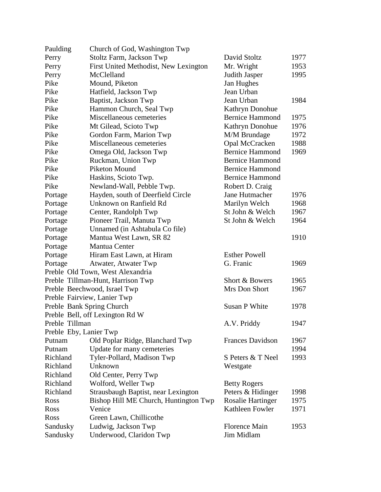| Stoltz Farm, Jackson Twp<br>1977<br>David Stoltz<br>First United Methodist, New Lexington<br>Mr. Wright<br>1953<br>McClelland<br>Judith Jasper<br>1995<br>Mound, Piketon<br>Jan Hughes<br>Hatfield, Jackson Twp<br>Jean Urban<br>Baptist, Jackson Twp<br>Jean Urban<br>1984<br>Kathryn Donohue<br>Hammon Church, Seal Twp<br><b>Bernice Hammond</b><br>Miscellaneous cemeteries<br>1975<br>Mt Gilead, Scioto Twp<br>Kathryn Donohue<br>1976<br>M/M Brundage<br>1972<br>Gordon Farm, Marion Twp<br>Miscellaneous cemeteries<br>Opal McCracken<br>1988<br><b>Bernice Hammond</b><br>1969<br>Omega Old, Jackson Twp<br>Ruckman, Union Twp<br><b>Bernice Hammond</b><br>Piketon Mound<br><b>Bernice Hammond</b><br><b>Bernice Hammond</b><br>Haskins, Scioto Twp.<br>Robert D. Craig<br>Newland-Wall, Pebble Twp.<br>Hayden, south of Deerfield Circle<br>Jane Hutmacher<br>1976<br>Unknown on Ranfield Rd<br>Marilyn Welch<br>1968<br>St John & Welch<br>Center, Randolph Twp<br>1967<br>Pioneer Trail, Manuta Twp<br>St John & Welch<br>1964<br>Portage<br>Unnamed (in Ashtabula Co file)<br>Portage<br>1910<br>Mantua West Lawn, SR 82<br>Mantua Center<br><b>Esther Powell</b><br>Hiram East Lawn, at Hiram<br>G. Franic<br>1969<br>Atwater, Atwater Twp<br>Preble Old Town, West Alexandria<br>Preble Tillman-Hunt, Harrison Twp<br>Short & Bowers<br>1965<br>Mrs Don Short<br>Preble Beechwood, Israel Twp<br>1967<br>Preble Fairview, Lanier Twp<br>Preble Bank Spring Church<br><b>Susan P White</b><br>1978<br>Preble Bell, off Lexington Rd W<br>Preble Tillman<br>A.V. Priddy<br>1947<br>Preble Eby, Lanier Twp<br>Old Poplar Ridge, Blanchard Twp<br><b>Frances Davidson</b><br>1967<br>Update for many cemeteries<br>1994<br>Tyler-Pollard, Madison Twp<br>S Peters & T Neel<br>1993<br>Unknown<br>Westgate<br>Old Center, Perry Twp<br>Wolford, Weller Twp<br><b>Betty Rogers</b><br>Strausbaugh Baptist, near Lexington<br>Peters & Hidinger<br>1998<br>Bishop Hill ME Church, Huntington Twp<br><b>Rosalie Hartinger</b><br>1975<br>Kathleen Fowler<br>Venice<br>1971<br>Green Lawn, Chillicothe<br>Ludwig, Jackson Twp<br><b>Florence Main</b><br>Sandusky<br>1953<br>Underwood, Claridon Twp<br>Jim Midlam | Paulding    | Church of God, Washington Twp |  |
|--------------------------------------------------------------------------------------------------------------------------------------------------------------------------------------------------------------------------------------------------------------------------------------------------------------------------------------------------------------------------------------------------------------------------------------------------------------------------------------------------------------------------------------------------------------------------------------------------------------------------------------------------------------------------------------------------------------------------------------------------------------------------------------------------------------------------------------------------------------------------------------------------------------------------------------------------------------------------------------------------------------------------------------------------------------------------------------------------------------------------------------------------------------------------------------------------------------------------------------------------------------------------------------------------------------------------------------------------------------------------------------------------------------------------------------------------------------------------------------------------------------------------------------------------------------------------------------------------------------------------------------------------------------------------------------------------------------------------------------------------------------------------------------------------------------------------------------------------------------------------------------------------------------------------------------------------------------------------------------------------------------------------------------------------------------------------------------------------------------------------------------------------------------------------------------------------------------------------|-------------|-------------------------------|--|
|                                                                                                                                                                                                                                                                                                                                                                                                                                                                                                                                                                                                                                                                                                                                                                                                                                                                                                                                                                                                                                                                                                                                                                                                                                                                                                                                                                                                                                                                                                                                                                                                                                                                                                                                                                                                                                                                                                                                                                                                                                                                                                                                                                                                                          | Perry       |                               |  |
|                                                                                                                                                                                                                                                                                                                                                                                                                                                                                                                                                                                                                                                                                                                                                                                                                                                                                                                                                                                                                                                                                                                                                                                                                                                                                                                                                                                                                                                                                                                                                                                                                                                                                                                                                                                                                                                                                                                                                                                                                                                                                                                                                                                                                          | Perry       |                               |  |
|                                                                                                                                                                                                                                                                                                                                                                                                                                                                                                                                                                                                                                                                                                                                                                                                                                                                                                                                                                                                                                                                                                                                                                                                                                                                                                                                                                                                                                                                                                                                                                                                                                                                                                                                                                                                                                                                                                                                                                                                                                                                                                                                                                                                                          | Perry       |                               |  |
|                                                                                                                                                                                                                                                                                                                                                                                                                                                                                                                                                                                                                                                                                                                                                                                                                                                                                                                                                                                                                                                                                                                                                                                                                                                                                                                                                                                                                                                                                                                                                                                                                                                                                                                                                                                                                                                                                                                                                                                                                                                                                                                                                                                                                          | Pike        |                               |  |
|                                                                                                                                                                                                                                                                                                                                                                                                                                                                                                                                                                                                                                                                                                                                                                                                                                                                                                                                                                                                                                                                                                                                                                                                                                                                                                                                                                                                                                                                                                                                                                                                                                                                                                                                                                                                                                                                                                                                                                                                                                                                                                                                                                                                                          | Pike        |                               |  |
|                                                                                                                                                                                                                                                                                                                                                                                                                                                                                                                                                                                                                                                                                                                                                                                                                                                                                                                                                                                                                                                                                                                                                                                                                                                                                                                                                                                                                                                                                                                                                                                                                                                                                                                                                                                                                                                                                                                                                                                                                                                                                                                                                                                                                          | Pike        |                               |  |
|                                                                                                                                                                                                                                                                                                                                                                                                                                                                                                                                                                                                                                                                                                                                                                                                                                                                                                                                                                                                                                                                                                                                                                                                                                                                                                                                                                                                                                                                                                                                                                                                                                                                                                                                                                                                                                                                                                                                                                                                                                                                                                                                                                                                                          | Pike        |                               |  |
|                                                                                                                                                                                                                                                                                                                                                                                                                                                                                                                                                                                                                                                                                                                                                                                                                                                                                                                                                                                                                                                                                                                                                                                                                                                                                                                                                                                                                                                                                                                                                                                                                                                                                                                                                                                                                                                                                                                                                                                                                                                                                                                                                                                                                          | Pike        |                               |  |
|                                                                                                                                                                                                                                                                                                                                                                                                                                                                                                                                                                                                                                                                                                                                                                                                                                                                                                                                                                                                                                                                                                                                                                                                                                                                                                                                                                                                                                                                                                                                                                                                                                                                                                                                                                                                                                                                                                                                                                                                                                                                                                                                                                                                                          | Pike        |                               |  |
|                                                                                                                                                                                                                                                                                                                                                                                                                                                                                                                                                                                                                                                                                                                                                                                                                                                                                                                                                                                                                                                                                                                                                                                                                                                                                                                                                                                                                                                                                                                                                                                                                                                                                                                                                                                                                                                                                                                                                                                                                                                                                                                                                                                                                          | Pike        |                               |  |
|                                                                                                                                                                                                                                                                                                                                                                                                                                                                                                                                                                                                                                                                                                                                                                                                                                                                                                                                                                                                                                                                                                                                                                                                                                                                                                                                                                                                                                                                                                                                                                                                                                                                                                                                                                                                                                                                                                                                                                                                                                                                                                                                                                                                                          | Pike        |                               |  |
|                                                                                                                                                                                                                                                                                                                                                                                                                                                                                                                                                                                                                                                                                                                                                                                                                                                                                                                                                                                                                                                                                                                                                                                                                                                                                                                                                                                                                                                                                                                                                                                                                                                                                                                                                                                                                                                                                                                                                                                                                                                                                                                                                                                                                          | Pike        |                               |  |
|                                                                                                                                                                                                                                                                                                                                                                                                                                                                                                                                                                                                                                                                                                                                                                                                                                                                                                                                                                                                                                                                                                                                                                                                                                                                                                                                                                                                                                                                                                                                                                                                                                                                                                                                                                                                                                                                                                                                                                                                                                                                                                                                                                                                                          | Pike        |                               |  |
|                                                                                                                                                                                                                                                                                                                                                                                                                                                                                                                                                                                                                                                                                                                                                                                                                                                                                                                                                                                                                                                                                                                                                                                                                                                                                                                                                                                                                                                                                                                                                                                                                                                                                                                                                                                                                                                                                                                                                                                                                                                                                                                                                                                                                          | Pike        |                               |  |
|                                                                                                                                                                                                                                                                                                                                                                                                                                                                                                                                                                                                                                                                                                                                                                                                                                                                                                                                                                                                                                                                                                                                                                                                                                                                                                                                                                                                                                                                                                                                                                                                                                                                                                                                                                                                                                                                                                                                                                                                                                                                                                                                                                                                                          | Pike        |                               |  |
|                                                                                                                                                                                                                                                                                                                                                                                                                                                                                                                                                                                                                                                                                                                                                                                                                                                                                                                                                                                                                                                                                                                                                                                                                                                                                                                                                                                                                                                                                                                                                                                                                                                                                                                                                                                                                                                                                                                                                                                                                                                                                                                                                                                                                          | Pike        |                               |  |
|                                                                                                                                                                                                                                                                                                                                                                                                                                                                                                                                                                                                                                                                                                                                                                                                                                                                                                                                                                                                                                                                                                                                                                                                                                                                                                                                                                                                                                                                                                                                                                                                                                                                                                                                                                                                                                                                                                                                                                                                                                                                                                                                                                                                                          | Portage     |                               |  |
|                                                                                                                                                                                                                                                                                                                                                                                                                                                                                                                                                                                                                                                                                                                                                                                                                                                                                                                                                                                                                                                                                                                                                                                                                                                                                                                                                                                                                                                                                                                                                                                                                                                                                                                                                                                                                                                                                                                                                                                                                                                                                                                                                                                                                          | Portage     |                               |  |
|                                                                                                                                                                                                                                                                                                                                                                                                                                                                                                                                                                                                                                                                                                                                                                                                                                                                                                                                                                                                                                                                                                                                                                                                                                                                                                                                                                                                                                                                                                                                                                                                                                                                                                                                                                                                                                                                                                                                                                                                                                                                                                                                                                                                                          | Portage     |                               |  |
|                                                                                                                                                                                                                                                                                                                                                                                                                                                                                                                                                                                                                                                                                                                                                                                                                                                                                                                                                                                                                                                                                                                                                                                                                                                                                                                                                                                                                                                                                                                                                                                                                                                                                                                                                                                                                                                                                                                                                                                                                                                                                                                                                                                                                          | Portage     |                               |  |
|                                                                                                                                                                                                                                                                                                                                                                                                                                                                                                                                                                                                                                                                                                                                                                                                                                                                                                                                                                                                                                                                                                                                                                                                                                                                                                                                                                                                                                                                                                                                                                                                                                                                                                                                                                                                                                                                                                                                                                                                                                                                                                                                                                                                                          |             |                               |  |
|                                                                                                                                                                                                                                                                                                                                                                                                                                                                                                                                                                                                                                                                                                                                                                                                                                                                                                                                                                                                                                                                                                                                                                                                                                                                                                                                                                                                                                                                                                                                                                                                                                                                                                                                                                                                                                                                                                                                                                                                                                                                                                                                                                                                                          |             |                               |  |
|                                                                                                                                                                                                                                                                                                                                                                                                                                                                                                                                                                                                                                                                                                                                                                                                                                                                                                                                                                                                                                                                                                                                                                                                                                                                                                                                                                                                                                                                                                                                                                                                                                                                                                                                                                                                                                                                                                                                                                                                                                                                                                                                                                                                                          | Portage     |                               |  |
|                                                                                                                                                                                                                                                                                                                                                                                                                                                                                                                                                                                                                                                                                                                                                                                                                                                                                                                                                                                                                                                                                                                                                                                                                                                                                                                                                                                                                                                                                                                                                                                                                                                                                                                                                                                                                                                                                                                                                                                                                                                                                                                                                                                                                          | Portage     |                               |  |
|                                                                                                                                                                                                                                                                                                                                                                                                                                                                                                                                                                                                                                                                                                                                                                                                                                                                                                                                                                                                                                                                                                                                                                                                                                                                                                                                                                                                                                                                                                                                                                                                                                                                                                                                                                                                                                                                                                                                                                                                                                                                                                                                                                                                                          | Portage     |                               |  |
|                                                                                                                                                                                                                                                                                                                                                                                                                                                                                                                                                                                                                                                                                                                                                                                                                                                                                                                                                                                                                                                                                                                                                                                                                                                                                                                                                                                                                                                                                                                                                                                                                                                                                                                                                                                                                                                                                                                                                                                                                                                                                                                                                                                                                          |             |                               |  |
|                                                                                                                                                                                                                                                                                                                                                                                                                                                                                                                                                                                                                                                                                                                                                                                                                                                                                                                                                                                                                                                                                                                                                                                                                                                                                                                                                                                                                                                                                                                                                                                                                                                                                                                                                                                                                                                                                                                                                                                                                                                                                                                                                                                                                          |             |                               |  |
|                                                                                                                                                                                                                                                                                                                                                                                                                                                                                                                                                                                                                                                                                                                                                                                                                                                                                                                                                                                                                                                                                                                                                                                                                                                                                                                                                                                                                                                                                                                                                                                                                                                                                                                                                                                                                                                                                                                                                                                                                                                                                                                                                                                                                          |             |                               |  |
|                                                                                                                                                                                                                                                                                                                                                                                                                                                                                                                                                                                                                                                                                                                                                                                                                                                                                                                                                                                                                                                                                                                                                                                                                                                                                                                                                                                                                                                                                                                                                                                                                                                                                                                                                                                                                                                                                                                                                                                                                                                                                                                                                                                                                          |             |                               |  |
|                                                                                                                                                                                                                                                                                                                                                                                                                                                                                                                                                                                                                                                                                                                                                                                                                                                                                                                                                                                                                                                                                                                                                                                                                                                                                                                                                                                                                                                                                                                                                                                                                                                                                                                                                                                                                                                                                                                                                                                                                                                                                                                                                                                                                          |             |                               |  |
|                                                                                                                                                                                                                                                                                                                                                                                                                                                                                                                                                                                                                                                                                                                                                                                                                                                                                                                                                                                                                                                                                                                                                                                                                                                                                                                                                                                                                                                                                                                                                                                                                                                                                                                                                                                                                                                                                                                                                                                                                                                                                                                                                                                                                          |             |                               |  |
|                                                                                                                                                                                                                                                                                                                                                                                                                                                                                                                                                                                                                                                                                                                                                                                                                                                                                                                                                                                                                                                                                                                                                                                                                                                                                                                                                                                                                                                                                                                                                                                                                                                                                                                                                                                                                                                                                                                                                                                                                                                                                                                                                                                                                          |             |                               |  |
|                                                                                                                                                                                                                                                                                                                                                                                                                                                                                                                                                                                                                                                                                                                                                                                                                                                                                                                                                                                                                                                                                                                                                                                                                                                                                                                                                                                                                                                                                                                                                                                                                                                                                                                                                                                                                                                                                                                                                                                                                                                                                                                                                                                                                          |             |                               |  |
|                                                                                                                                                                                                                                                                                                                                                                                                                                                                                                                                                                                                                                                                                                                                                                                                                                                                                                                                                                                                                                                                                                                                                                                                                                                                                                                                                                                                                                                                                                                                                                                                                                                                                                                                                                                                                                                                                                                                                                                                                                                                                                                                                                                                                          | Putnam      |                               |  |
|                                                                                                                                                                                                                                                                                                                                                                                                                                                                                                                                                                                                                                                                                                                                                                                                                                                                                                                                                                                                                                                                                                                                                                                                                                                                                                                                                                                                                                                                                                                                                                                                                                                                                                                                                                                                                                                                                                                                                                                                                                                                                                                                                                                                                          | Putnam      |                               |  |
|                                                                                                                                                                                                                                                                                                                                                                                                                                                                                                                                                                                                                                                                                                                                                                                                                                                                                                                                                                                                                                                                                                                                                                                                                                                                                                                                                                                                                                                                                                                                                                                                                                                                                                                                                                                                                                                                                                                                                                                                                                                                                                                                                                                                                          | Richland    |                               |  |
|                                                                                                                                                                                                                                                                                                                                                                                                                                                                                                                                                                                                                                                                                                                                                                                                                                                                                                                                                                                                                                                                                                                                                                                                                                                                                                                                                                                                                                                                                                                                                                                                                                                                                                                                                                                                                                                                                                                                                                                                                                                                                                                                                                                                                          | Richland    |                               |  |
|                                                                                                                                                                                                                                                                                                                                                                                                                                                                                                                                                                                                                                                                                                                                                                                                                                                                                                                                                                                                                                                                                                                                                                                                                                                                                                                                                                                                                                                                                                                                                                                                                                                                                                                                                                                                                                                                                                                                                                                                                                                                                                                                                                                                                          | Richland    |                               |  |
|                                                                                                                                                                                                                                                                                                                                                                                                                                                                                                                                                                                                                                                                                                                                                                                                                                                                                                                                                                                                                                                                                                                                                                                                                                                                                                                                                                                                                                                                                                                                                                                                                                                                                                                                                                                                                                                                                                                                                                                                                                                                                                                                                                                                                          | Richland    |                               |  |
|                                                                                                                                                                                                                                                                                                                                                                                                                                                                                                                                                                                                                                                                                                                                                                                                                                                                                                                                                                                                                                                                                                                                                                                                                                                                                                                                                                                                                                                                                                                                                                                                                                                                                                                                                                                                                                                                                                                                                                                                                                                                                                                                                                                                                          | Richland    |                               |  |
|                                                                                                                                                                                                                                                                                                                                                                                                                                                                                                                                                                                                                                                                                                                                                                                                                                                                                                                                                                                                                                                                                                                                                                                                                                                                                                                                                                                                                                                                                                                                                                                                                                                                                                                                                                                                                                                                                                                                                                                                                                                                                                                                                                                                                          | <b>Ross</b> |                               |  |
|                                                                                                                                                                                                                                                                                                                                                                                                                                                                                                                                                                                                                                                                                                                                                                                                                                                                                                                                                                                                                                                                                                                                                                                                                                                                                                                                                                                                                                                                                                                                                                                                                                                                                                                                                                                                                                                                                                                                                                                                                                                                                                                                                                                                                          | <b>Ross</b> |                               |  |
|                                                                                                                                                                                                                                                                                                                                                                                                                                                                                                                                                                                                                                                                                                                                                                                                                                                                                                                                                                                                                                                                                                                                                                                                                                                                                                                                                                                                                                                                                                                                                                                                                                                                                                                                                                                                                                                                                                                                                                                                                                                                                                                                                                                                                          | Ross        |                               |  |
|                                                                                                                                                                                                                                                                                                                                                                                                                                                                                                                                                                                                                                                                                                                                                                                                                                                                                                                                                                                                                                                                                                                                                                                                                                                                                                                                                                                                                                                                                                                                                                                                                                                                                                                                                                                                                                                                                                                                                                                                                                                                                                                                                                                                                          |             |                               |  |
|                                                                                                                                                                                                                                                                                                                                                                                                                                                                                                                                                                                                                                                                                                                                                                                                                                                                                                                                                                                                                                                                                                                                                                                                                                                                                                                                                                                                                                                                                                                                                                                                                                                                                                                                                                                                                                                                                                                                                                                                                                                                                                                                                                                                                          | Sandusky    |                               |  |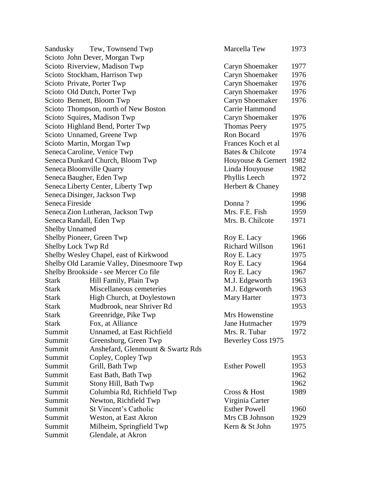| Sandusky        | Tew, Townsend Twp                         | Marcella Tew           | 1973 |
|-----------------|-------------------------------------------|------------------------|------|
|                 | Scioto John Dever, Morgan Twp             |                        |      |
|                 | Scioto Riverview, Madison Twp             | Caryn Shoemaker        | 1977 |
|                 | Scioto Stockham, Harrison Twp             | Caryn Shoemaker        | 1976 |
|                 | Scioto Private, Porter Twp                | Caryn Shoemaker        | 1976 |
|                 | Scioto Old Dutch, Porter Twp              | Caryn Shoemaker        | 1976 |
|                 | Scioto Bennett, Bloom Twp                 | Caryn Shoemaker        | 1976 |
|                 | Scioto Thompson, north of New Boston      | Carrie Hammond         |      |
|                 | Scioto Squires, Madison Twp               | Caryn Shoemaker        | 1976 |
|                 | Scioto Highland Bend, Porter Twp          | <b>Thomas Peery</b>    | 1975 |
|                 | Scioto Unnamed, Greene Twp                | Ron Bocard             | 1976 |
|                 | Scioto Martin, Morgan Twp                 | Frances Koch et al     |      |
|                 | Seneca Caroline, Venice Twp               | Bates & Chilcote       | 1974 |
|                 | Seneca Dunkard Church, Bloom Twp          | Houyouse & Gernert     | 1982 |
|                 | Seneca Bloomville Quarry                  | Linda Houyouse         | 1982 |
|                 | Seneca Baugher, Eden Twp                  | Phyllis Leech          | 1972 |
|                 | Seneca Liberty Center, Liberty Twp        | Herbert & Chaney       |      |
|                 | Seneca Disinger, Jackson Twp              |                        | 1998 |
| Seneca Fireside |                                           | Donna?                 | 1996 |
|                 | Seneca Zion Lutheran, Jackson Twp         | Mrs. F.E. Fish         | 1959 |
|                 | Seneca Randall, Eden Twp                  | Mrs. B. Chilcote       | 1971 |
|                 | <b>Shelby Unnamed</b>                     |                        |      |
|                 | Shelby Pioneer, Green Twp                 | Roy E. Lacy            | 1966 |
|                 | Shelby Lock Twp Rd                        | <b>Richard Willson</b> | 1961 |
|                 | Shelby Wesley Chapel, east of Kirkwood    | Roy E. Lacy            | 1975 |
|                 | Shelby Old Laramie Valley, Dinesmoore Twp | Roy E. Lacy            | 1964 |
|                 | Shelby Brookside - see Mercer Co file     | Roy E. Lacy            | 1967 |
| <b>Stark</b>    | Hill Family, Plain Twp                    | M.J. Edgeworth         | 1963 |
| <b>Stark</b>    | Miscellaneous cemeteries                  | M.J. Edgeworth         | 1963 |
| <b>Stark</b>    | High Church, at Doylestown                | Mary Harter            | 1973 |
| <b>Stark</b>    | Mudbrook, near Shriver Rd                 |                        | 1953 |
| <b>Stark</b>    | Greenridge, Pike Twp                      | Mrs Howenstine         |      |
| <b>Stark</b>    | Fox, at Alliance                          | Jane Hutmacher         | 1979 |
| Summit          | Unnamed, at East Richfield                | Mrs. R. Tubar          | 1972 |
| Summit          | Greensburg, Green Twp                     | Beverley Coss 1975     |      |
| Summit          | Anshefard, Glenmount & Swartz Rds         |                        |      |
| Summit          | Copley, Copley Twp                        |                        | 1953 |
| Summit          | Grill, Bath Twp                           | <b>Esther Powell</b>   | 1953 |
| Summit          | East Bath, Bath Twp                       |                        | 1962 |
| Summit          | Stony Hill, Bath Twp                      |                        | 1962 |
| Summit          | Columbia Rd, Richfield Twp                | Cross & Host           | 1989 |
| Summit          | Newton, Richfield Twp                     | Virginia Carter        |      |
| Summit          | St Vincent's Catholic                     | <b>Esther Powell</b>   | 1960 |
| Summit          | Weston, at East Akron                     | Mrs CB Johnson         | 1929 |
| Summit          | Milheim, Springfield Twp                  | Kern & St John         | 1975 |
| Summit          | Glendale, at Akron                        |                        |      |
|                 |                                           |                        |      |